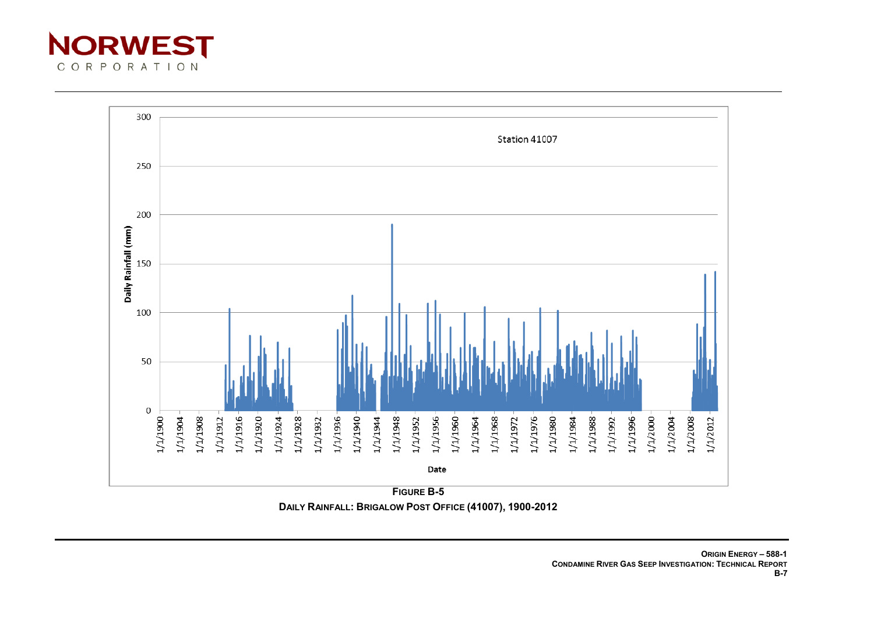



**DAILY RAINFALL: BRIGALOW POST OFFICE (41007), 1900-2012**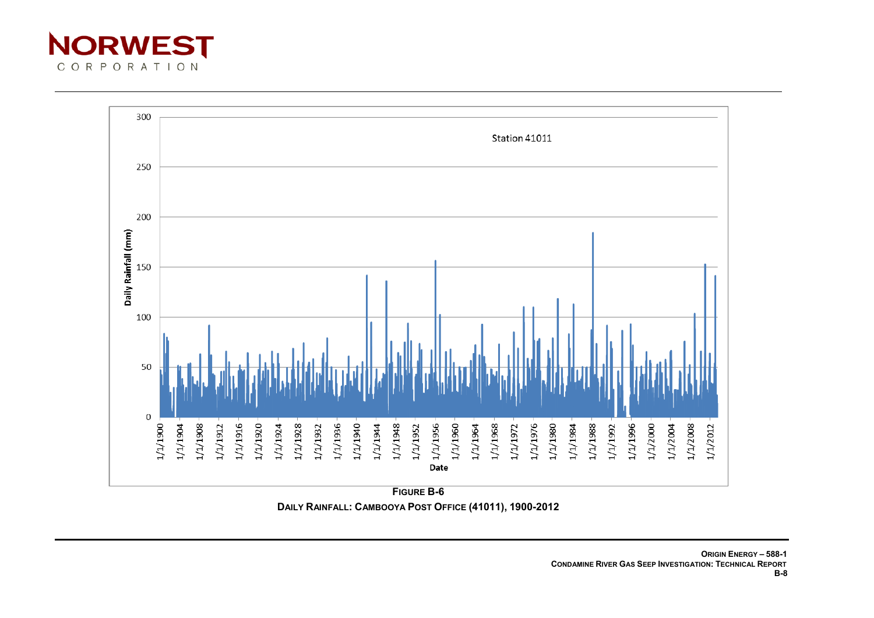



**FIGURE B-6 DAILY RAINFALL: CAMBOOYA POST OFFICE (41011), 1900-2012**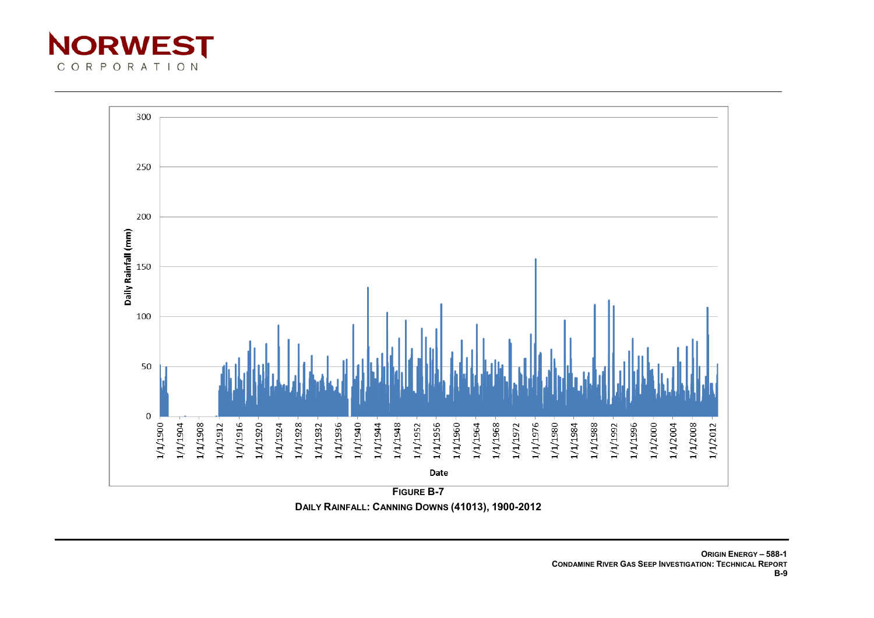



**FIGURE B-7 DAILY RAINFALL: CANNING DOWNS (41013), 1900-2012**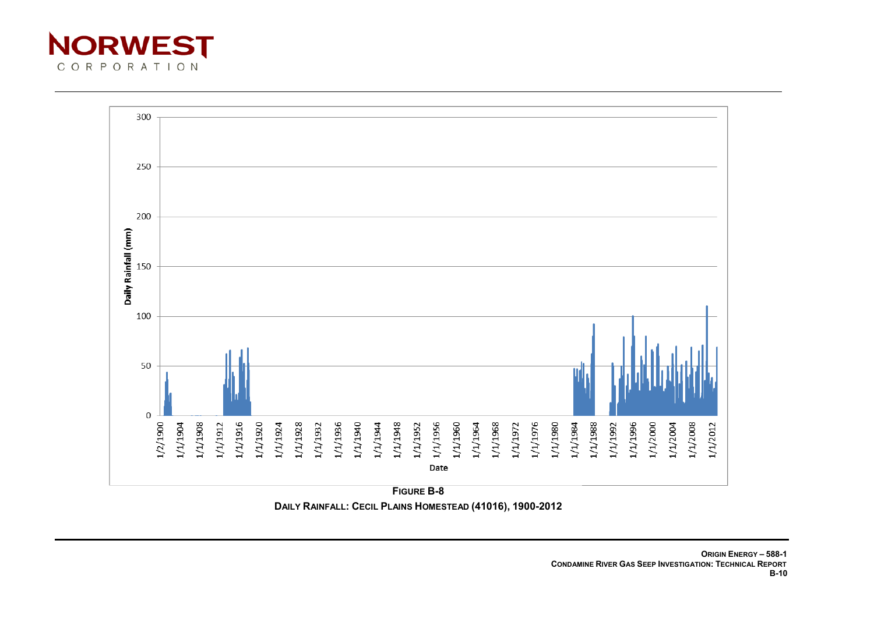



**FIGURE B-8 DAILY RAINFALL: CECIL PLAINS HOMESTEAD (41016), 1900-2012**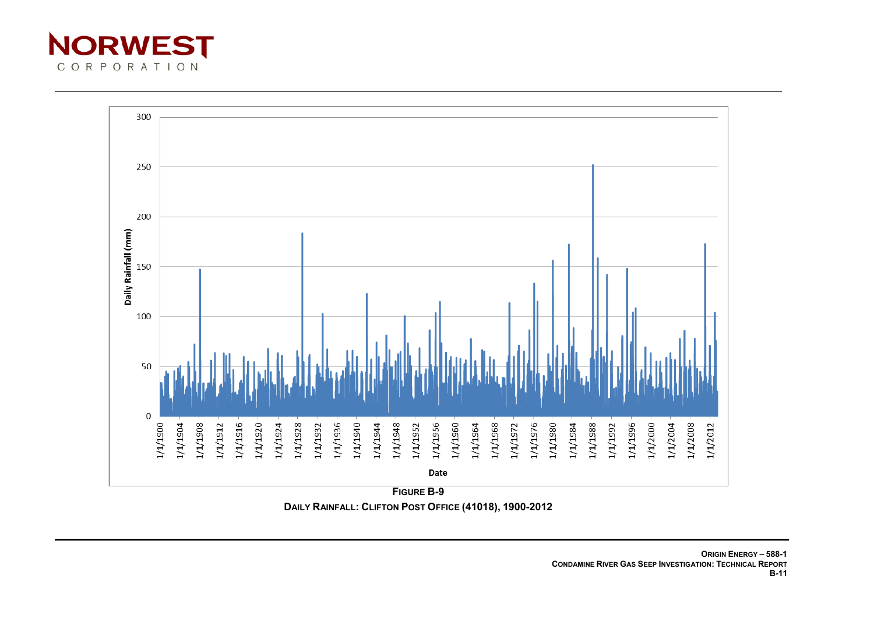



**FIGURE B-9 DAILY RAINFALL: CLIFTON POST OFFICE (41018), 1900-2012**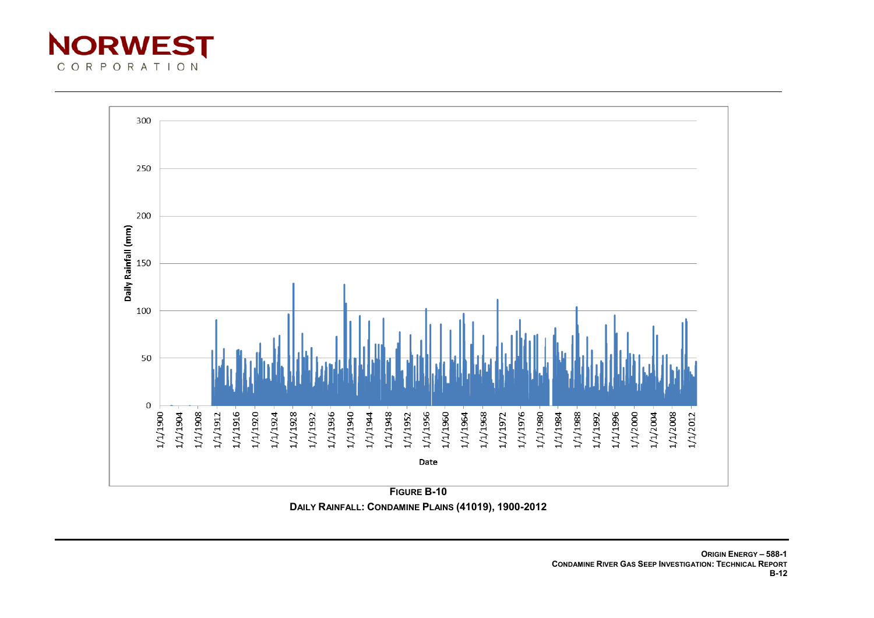



**FIGURE B-10 DAILY RAINFALL: CONDAMINE PLAINS (41019), 1900-2012**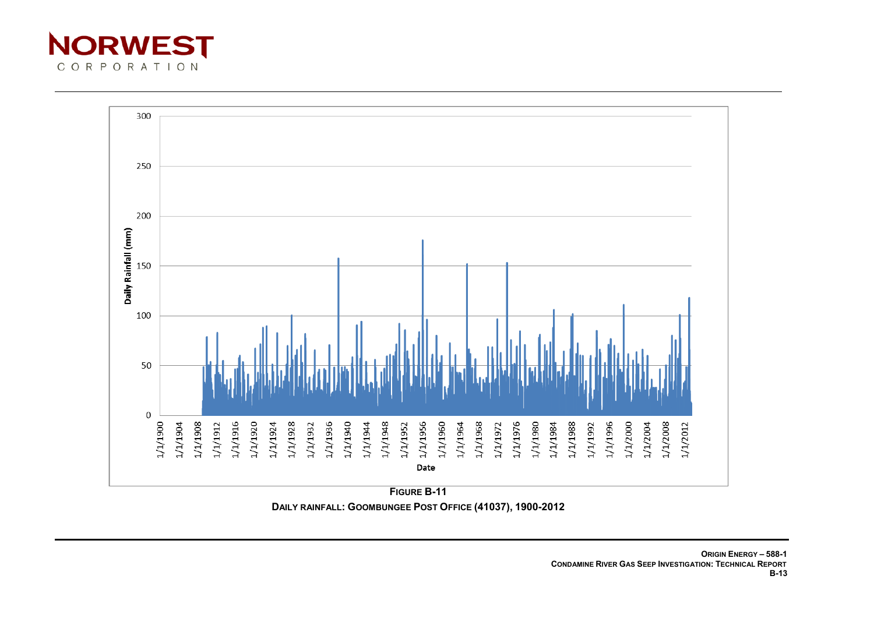



**FIGURE B-11 DAILY RAINFALL: GOOMBUNGEE POST OFFICE (41037), 1900-2012**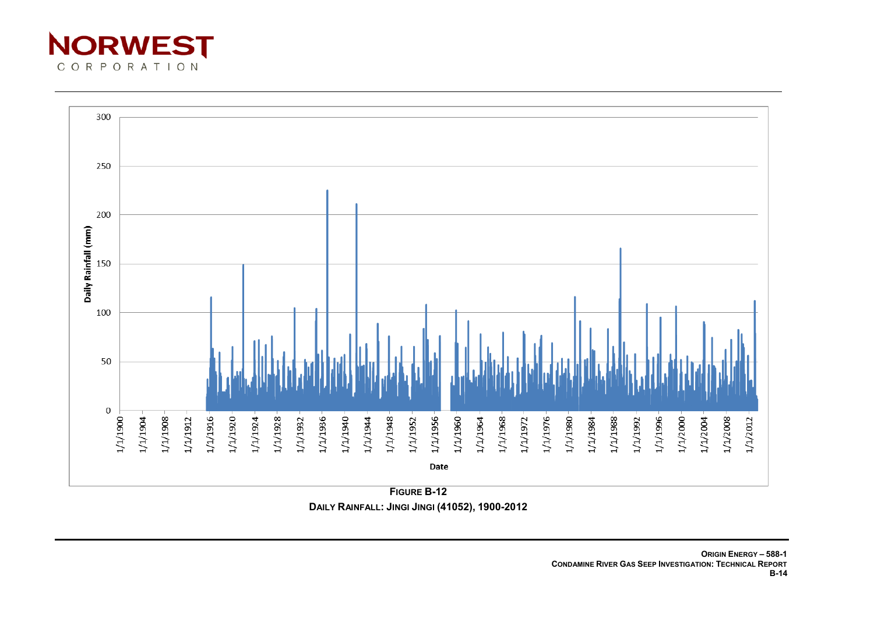



**DAILY RAINFALL: JINGI JINGI (41052), 1900-2012**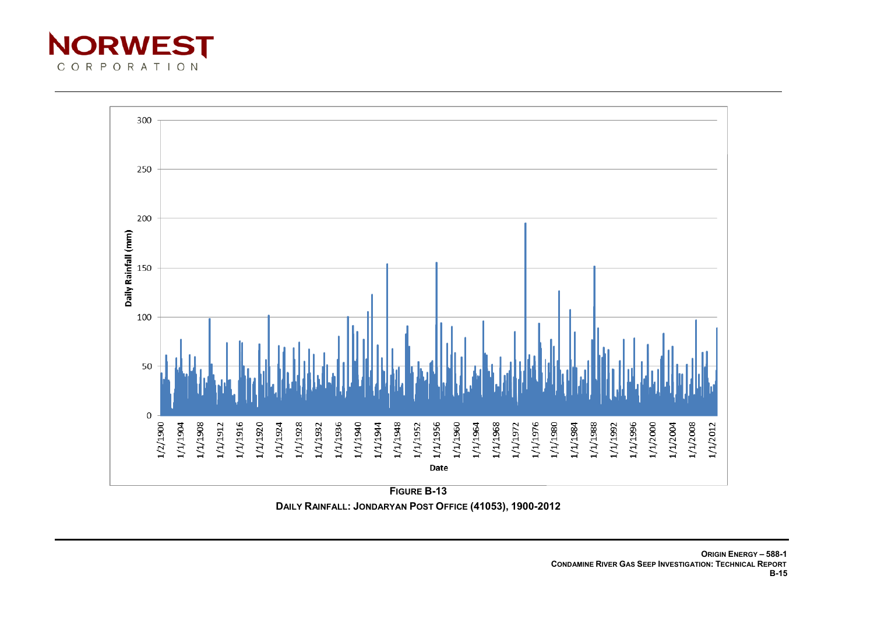



**FIGURE B-13 DAILY RAINFALL: JONDARYAN POST OFFICE (41053), 1900-2012**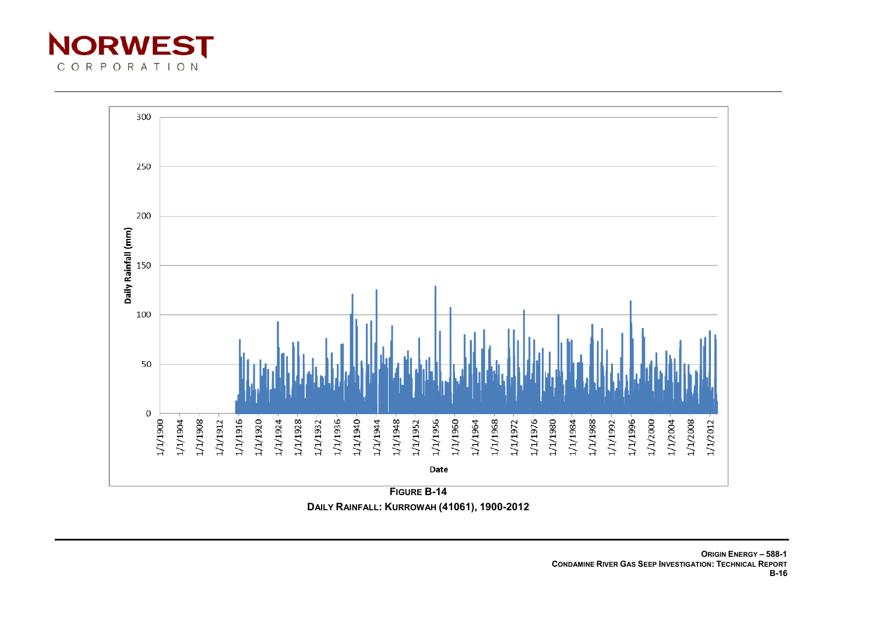



**DAILY RAINFALL: KURROWAH (41061), 1900-2012**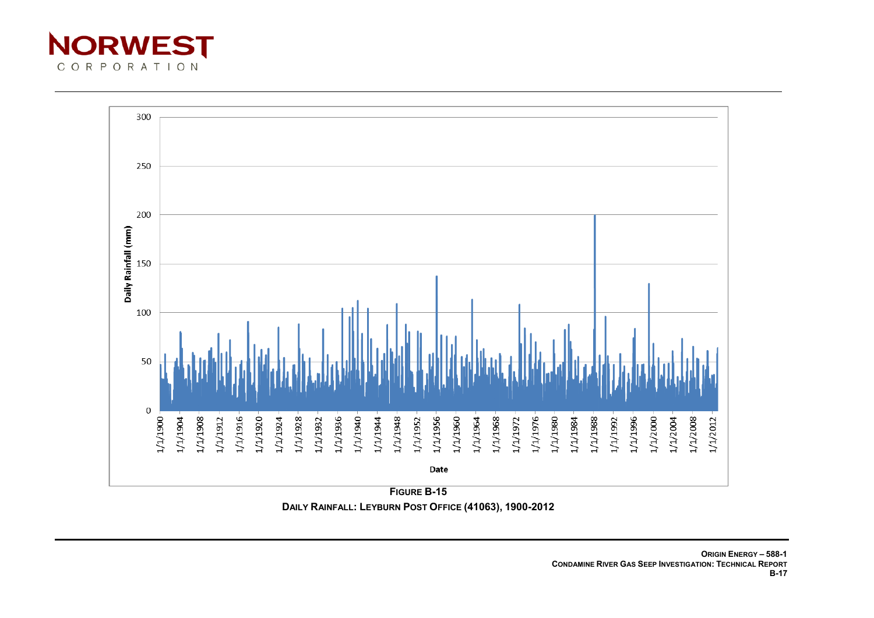



**DAILY RAINFALL: LEYBURN POST OFFICE (41063), 1900-2012**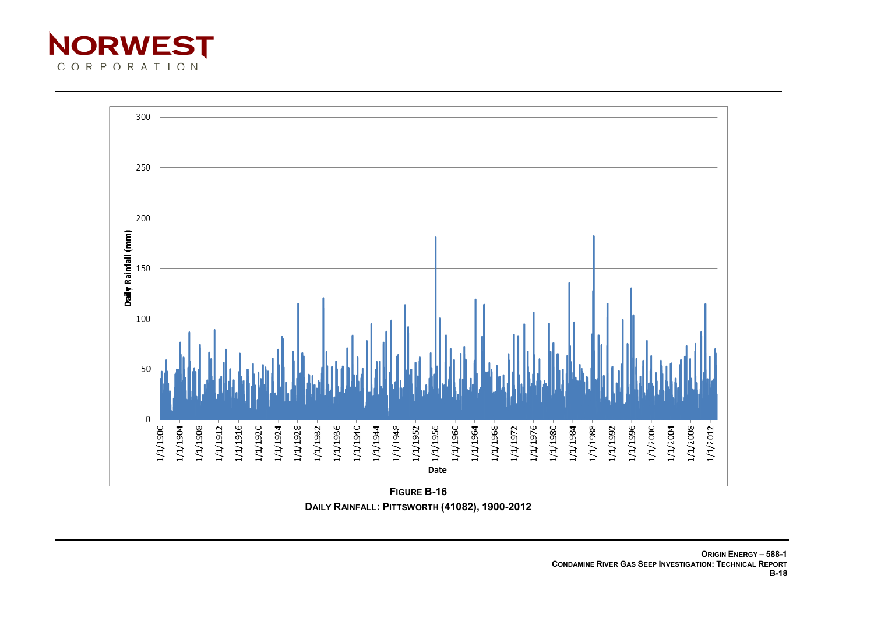



**FIGURE B-16 DAILY RAINFALL: PITTSWORTH (41082), 1900-2012**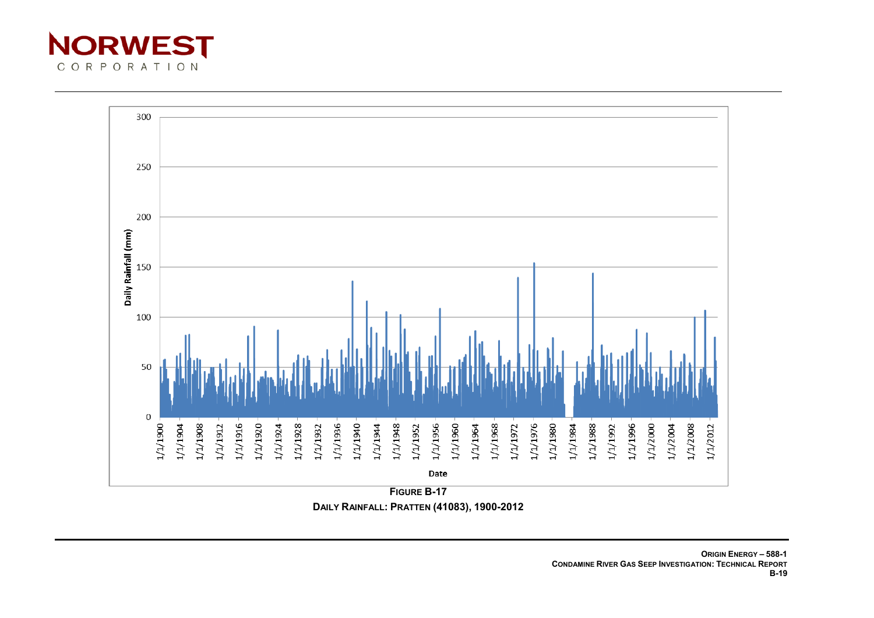



**FIGURE B-17 DAILY RAINFALL: PRATTEN (41083), 1900-2012**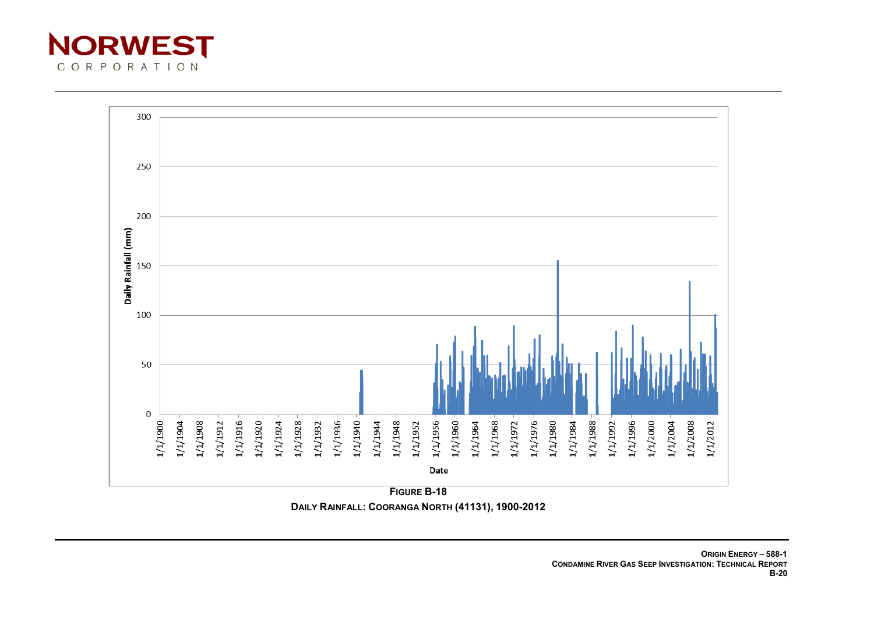



**DAILY RAINFALL: COORANGA NORTH (41131), 1900-2012**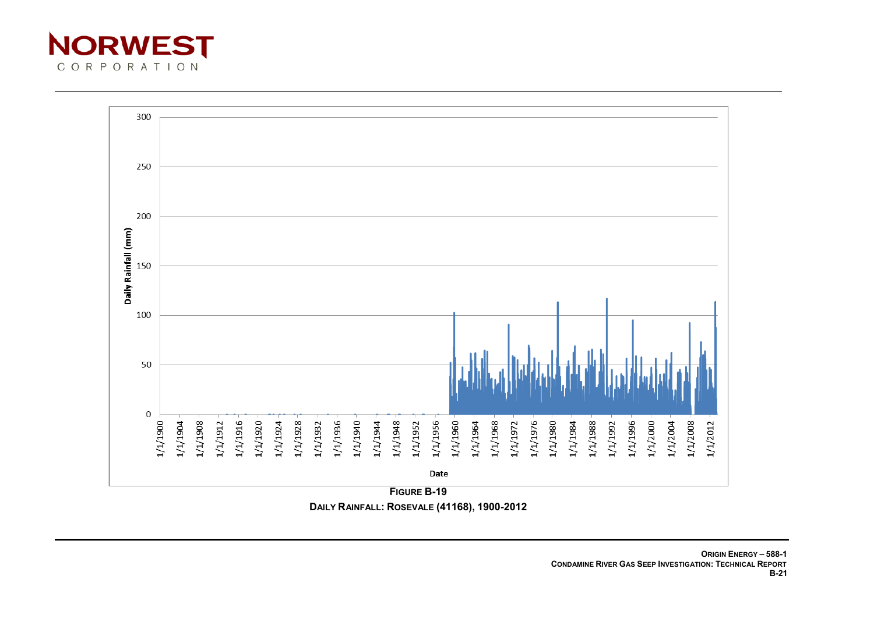



**DAILY RAINFALL: ROSEVALE (41168), 1900-2012**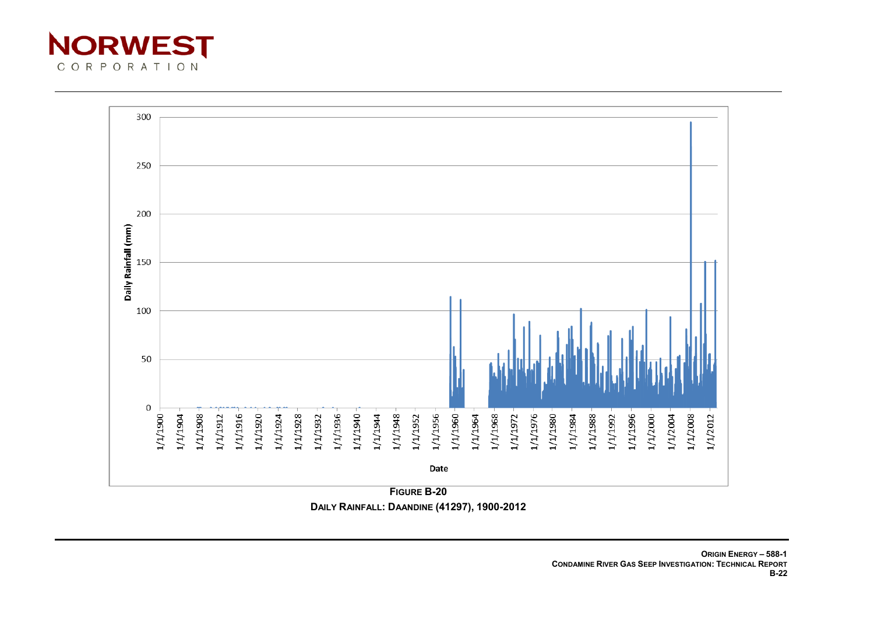



**DAILY RAINFALL: DAANDINE (41297), 1900-2012**